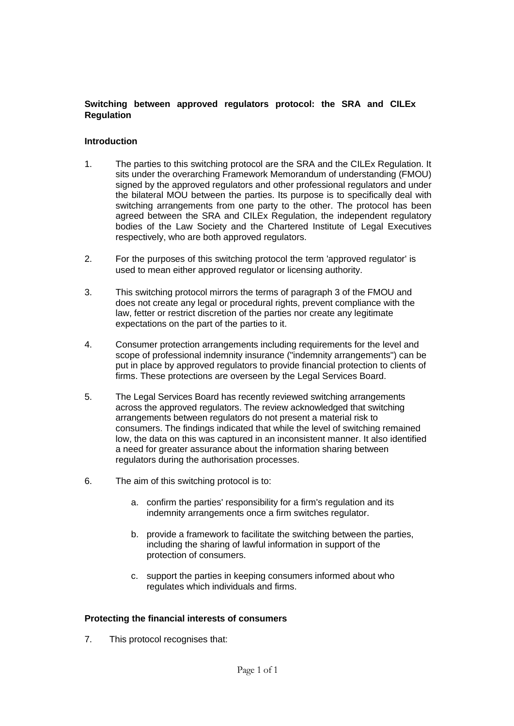# **Switching between approved regulators protocol: the SRA and CILEx Regulation**

# **Introduction**

- 1. The parties to this switching protocol are the SRA and the CILEx Regulation. It sits under the overarching Framework Memorandum of understanding (FMOU) signed by the approved regulators and other professional regulators and under the bilateral MOU between the parties. Its purpose is to specifically deal with switching arrangements from one party to the other. The protocol has been agreed between the SRA and CILEx Regulation, the independent regulatory bodies of the Law Society and the Chartered Institute of Legal Executives respectively, who are both approved regulators.
- 2. For the purposes of this switching protocol the term 'approved regulator' is used to mean either approved regulator or licensing authority.
- 3. This switching protocol mirrors the terms of paragraph 3 of the FMOU and does not create any legal or procedural rights, prevent compliance with the law, fetter or restrict discretion of the parties nor create any legitimate expectations on the part of the parties to it.
- 4. Consumer protection arrangements including requirements for the level and scope of professional indemnity insurance ("indemnity arrangements") can be put in place by approved regulators to provide financial protection to clients of firms. These protections are overseen by the Legal Services Board.
- 5. The Legal Services Board has recently reviewed switching arrangements across the approved regulators. The review acknowledged that switching arrangements between regulators do not present a material risk to consumers. The findings indicated that while the level of switching remained low, the data on this was captured in an inconsistent manner. It also identified a need for greater assurance about the information sharing between regulators during the authorisation processes.
- 6. The aim of this switching protocol is to:
	- a. confirm the parties' responsibility for a firm's regulation and its indemnity arrangements once a firm switches regulator.
	- b. provide a framework to facilitate the switching between the parties, including the sharing of lawful information in support of the protection of consumers.
	- c. support the parties in keeping consumers informed about who regulates which individuals and firms.

# **Protecting the financial interests of consumers**

7. This protocol recognises that: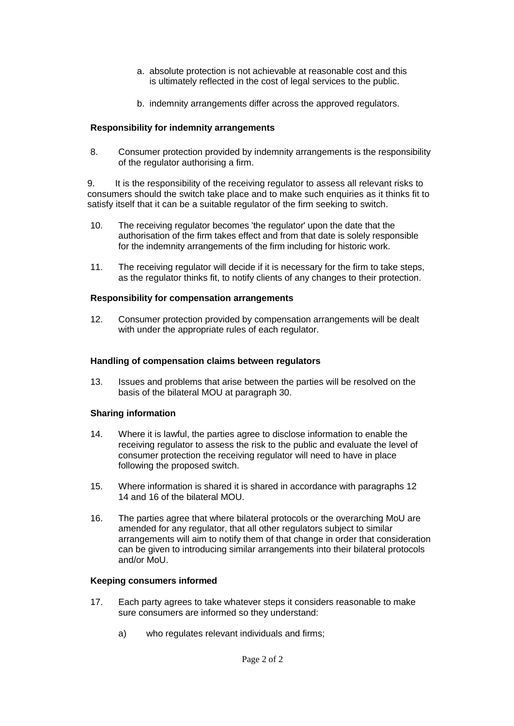- a. absolute protection is not achievable at reasonable cost and this is ultimately reflected in the cost of legal services to the public.
- b. indemnity arrangements differ across the approved regulators.

# **Responsibility for indemnity arrangements**

8. Consumer protection provided by indemnity arrangements is the responsibility of the regulator authorising a firm.

9. It is the responsibility of the receiving regulator to assess all relevant risks to consumers should the switch take place and to make such enquiries as it thinks fit to satisfy itself that it can be a suitable regulator of the firm seeking to switch.

- 10. The receiving regulator becomes 'the regulator' upon the date that the authorisation of the firm takes effect and from that date is solely responsible for the indemnity arrangements of the firm including for historic work.
- 11. The receiving regulator will decide if it is necessary for the firm to take steps, as the regulator thinks fit, to notify clients of any changes to their protection.

### **Responsibility for compensation arrangements**

12. Consumer protection provided by compensation arrangements will be dealt with under the appropriate rules of each regulator.

### **Handling of compensation claims between regulators**

13. Issues and problems that arise between the parties will be resolved on the basis of the bilateral MOU at paragraph 30.

# **Sharing information**

- 14. Where it is lawful, the parties agree to disclose information to enable the receiving regulator to assess the risk to the public and evaluate the level of consumer protection the receiving regulator will need to have in place following the proposed switch.
- 15. Where information is shared it is shared in accordance with paragraphs 12 14 and 16 of the bilateral MOU.
- 16. The parties agree that where bilateral protocols or the overarching MoU are amended for any regulator, that all other regulators subject to similar arrangements will aim to notify them of that change in order that consideration can be given to introducing similar arrangements into their bilateral protocols and/or MoU.

#### **Keeping consumers informed**

- 17. Each party agrees to take whatever steps it considers reasonable to make sure consumers are informed so they understand:
	- a) who regulates relevant individuals and firms;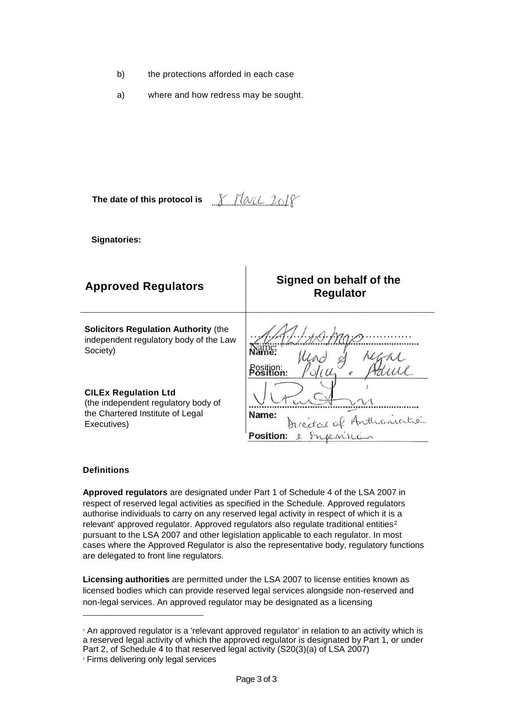- b) the protections afforded in each case
- a) where and how redress may be sought.

**The date of this protocol is** <u>Y Havel 2018</u>

**Signatories:**

| <b>Approved Regulators</b>                                                                                            | Signed on behalf of the<br><b>Regulator</b>            |
|-----------------------------------------------------------------------------------------------------------------------|--------------------------------------------------------|
| <b>Solicitors Regulation Authority (the</b><br>independent regulatory body of the Law<br>Society)                     |                                                        |
| <b>CILEx Regulation Ltd</b><br>(the independent regulatory body of<br>the Chartered Institute of Legal<br>Executives) | Name:<br>millioniatie<br>hiercor a<br><b>Position:</b> |

### **Definitions**

**Approved regulators** are designated under Part 1 of Schedule 4 of the LSA 2007 in respect of reserved legal activities as specified in the Schedule. Approved regulators authorise individuals to carry on any reserved legal activity in respect of which it is a relevant' approved regulator. Approved regulators also regulate traditional entities<sup>2</sup> pursuant to the LSA 2007 and other legislation applicable to each regulator. In most cases where the Approved Regulator is also the representative body, regulatory functions are delegated to front line regulators.

**Licensing authorities** are permitted under the LSA 2007 to license entities known as licensed bodies which can provide reserved legal services alongside non-reserved and non-legal services. An approved regulator may be designated as a licensing

<sup>1</sup> An approved regulator is a 'relevant approved regulator' in relation to an activity which is a reserved legal activity of which the approved regulator is designated by Part 1, or under Part 2, of Schedule 4 to that reserved legal activity (S20(3)(a) of LSA 2007) <sup>2</sup> Firms delivering only legal services